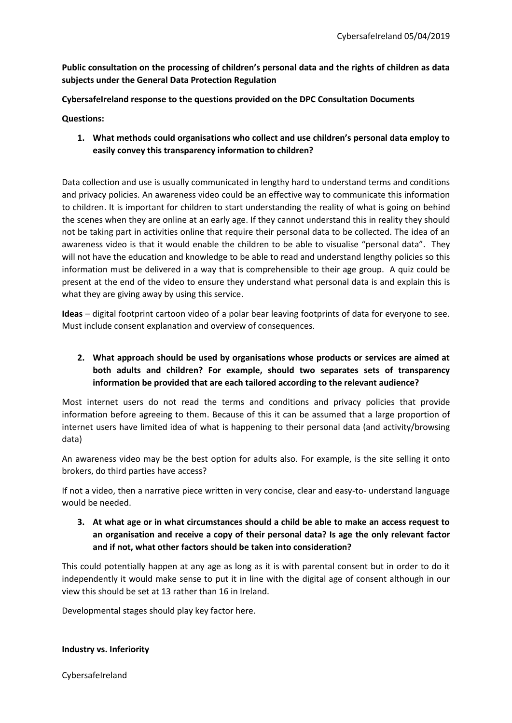**Public consultation on the processing of children's personal data and the rights of children as data subjects under the General Data Protection Regulation**

**CybersafeIreland response to the questions provided on the DPC Consultation Documents**

**Questions:** 

**1. What methods could organisations who collect and use children's personal data employ to easily convey this transparency information to children?** 

Data collection and use is usually communicated in lengthy hard to understand terms and conditions and privacy policies. An awareness video could be an effective way to communicate this information to children. It is important for children to start understanding the reality of what is going on behind the scenes when they are online at an early age. If they cannot understand this in reality they should not be taking part in activities online that require their personal data to be collected. The idea of an awareness video is that it would enable the children to be able to visualise "personal data". They will not have the education and knowledge to be able to read and understand lengthy policies so this information must be delivered in a way that is comprehensible to their age group. A quiz could be present at the end of the video to ensure they understand what personal data is and explain this is what they are giving away by using this service.

**Ideas** – digital footprint cartoon video of a polar bear leaving footprints of data for everyone to see. Must include consent explanation and overview of consequences.

# **2. What approach should be used by organisations whose products or services are aimed at both adults and children? For example, should two separates sets of transparency information be provided that are each tailored according to the relevant audience?**

Most internet users do not read the terms and conditions and privacy policies that provide information before agreeing to them. Because of this it can be assumed that a large proportion of internet users have limited idea of what is happening to their personal data (and activity/browsing data)

An awareness video may be the best option for adults also. For example, is the site selling it onto brokers, do third parties have access?

If not a video, then a narrative piece written in very concise, clear and easy-to- understand language would be needed.

**3. At what age or in what circumstances should a child be able to make an access request to an organisation and receive a copy of their personal data? Is age the only relevant factor and if not, what other factors should be taken into consideration?**

This could potentially happen at any age as long as it is with parental consent but in order to do it independently it would make sense to put it in line with the digital age of consent although in our view this should be set at 13 rather than 16 in Ireland.

Developmental stages should play key factor here.

**Industry vs. Inferiority**

CybersafeIreland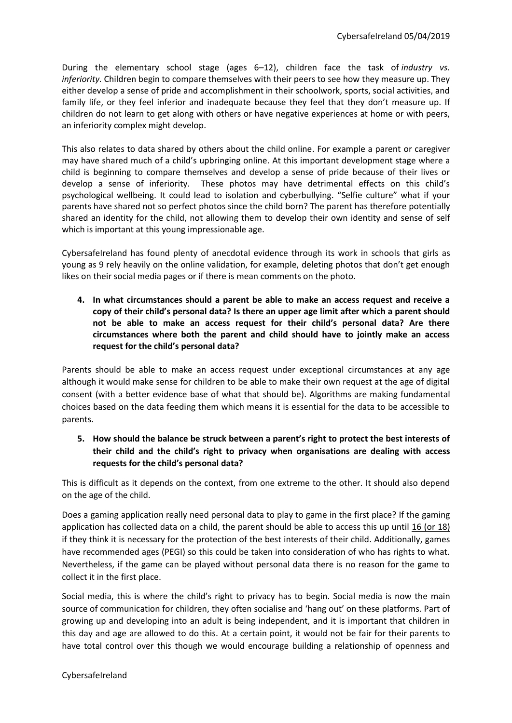During the elementary school stage (ages 6–12), children face the task of *industry vs. inferiority.* Children begin to compare themselves with their peers to see how they measure up. They either develop a sense of pride and accomplishment in their schoolwork, sports, social activities, and family life, or they feel inferior and inadequate because they feel that they don't measure up. If children do not learn to get along with others or have negative experiences at home or with peers, an inferiority complex might develop.

This also relates to data shared by others about the child online. For example a parent or caregiver may have shared much of a child's upbringing online. At this important development stage where a child is beginning to compare themselves and develop a sense of pride because of their lives or develop a sense of inferiority. These photos may have detrimental effects on this child's psychological wellbeing. It could lead to isolation and cyberbullying. "Selfie culture" what if your parents have shared not so perfect photos since the child born? The parent has therefore potentially shared an identity for the child, not allowing them to develop their own identity and sense of self which is important at this young impressionable age.

CybersafeIreland has found plenty of anecdotal evidence through its work in schools that girls as young as 9 rely heavily on the online validation, for example, deleting photos that don't get enough likes on their social media pages or if there is mean comments on the photo.

**4. In what circumstances should a parent be able to make an access request and receive a copy of their child's personal data? Is there an upper age limit after which a parent should not be able to make an access request for their child's personal data? Are there circumstances where both the parent and child should have to jointly make an access request for the child's personal data?**

Parents should be able to make an access request under exceptional circumstances at any age although it would make sense for children to be able to make their own request at the age of digital consent (with a better evidence base of what that should be). Algorithms are making fundamental choices based on the data feeding them which means it is essential for the data to be accessible to parents.

**5. How should the balance be struck between a parent's right to protect the best interests of their child and the child's right to privacy when organisations are dealing with access requests for the child's personal data?**

This is difficult as it depends on the context, from one extreme to the other. It should also depend on the age of the child.

Does a gaming application really need personal data to play to game in the first place? If the gaming application has collected data on a child, the parent should be able to access this up until 16 (or 18) if they think it is necessary for the protection of the best interests of their child. Additionally, games have recommended ages (PEGI) so this could be taken into consideration of who has rights to what. Nevertheless, if the game can be played without personal data there is no reason for the game to collect it in the first place.

Social media, this is where the child's right to privacy has to begin. Social media is now the main source of communication for children, they often socialise and 'hang out' on these platforms. Part of growing up and developing into an adult is being independent, and it is important that children in this day and age are allowed to do this. At a certain point, it would not be fair for their parents to have total control over this though we would encourage building a relationship of openness and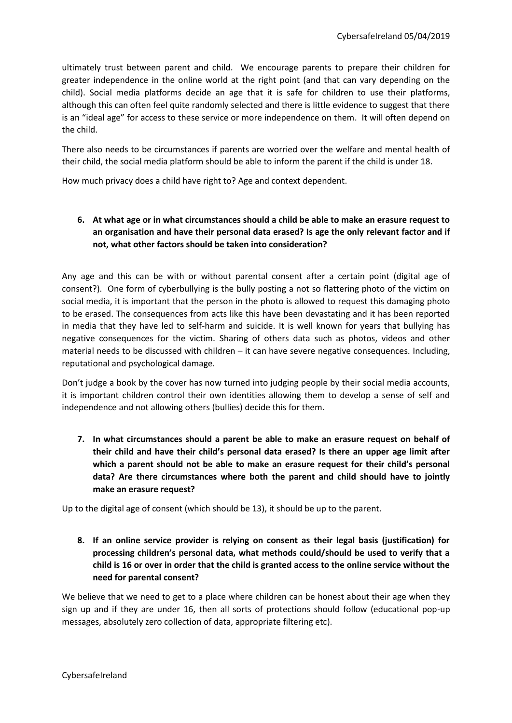ultimately trust between parent and child. We encourage parents to prepare their children for greater independence in the online world at the right point (and that can vary depending on the child). Social media platforms decide an age that it is safe for children to use their platforms, although this can often feel quite randomly selected and there is little evidence to suggest that there is an "ideal age" for access to these service or more independence on them. It will often depend on the child.

There also needs to be circumstances if parents are worried over the welfare and mental health of their child, the social media platform should be able to inform the parent if the child is under 18.

How much privacy does a child have right to? Age and context dependent.

### **6. At what age or in what circumstances should a child be able to make an erasure request to an organisation and have their personal data erased? Is age the only relevant factor and if not, what other factors should be taken into consideration?**

Any age and this can be with or without parental consent after a certain point (digital age of consent?). One form of cyberbullying is the bully posting a not so flattering photo of the victim on social media, it is important that the person in the photo is allowed to request this damaging photo to be erased. The consequences from acts like this have been devastating and it has been reported in media that they have led to self-harm and suicide. It is well known for years that bullying has negative consequences for the victim. Sharing of others data such as photos, videos and other material needs to be discussed with children – it can have severe negative consequences. Including, reputational and psychological damage.

Don't judge a book by the cover has now turned into judging people by their social media accounts, it is important children control their own identities allowing them to develop a sense of self and independence and not allowing others (bullies) decide this for them.

**7. In what circumstances should a parent be able to make an erasure request on behalf of their child and have their child's personal data erased? Is there an upper age limit after which a parent should not be able to make an erasure request for their child's personal data? Are there circumstances where both the parent and child should have to jointly make an erasure request?**

Up to the digital age of consent (which should be 13), it should be up to the parent.

**8. If an online service provider is relying on consent as their legal basis (justification) for processing children's personal data, what methods could/should be used to verify that a child is 16 or over in order that the child is granted access to the online service without the need for parental consent?** 

We believe that we need to get to a place where children can be honest about their age when they sign up and if they are under 16, then all sorts of protections should follow (educational pop-up messages, absolutely zero collection of data, appropriate filtering etc).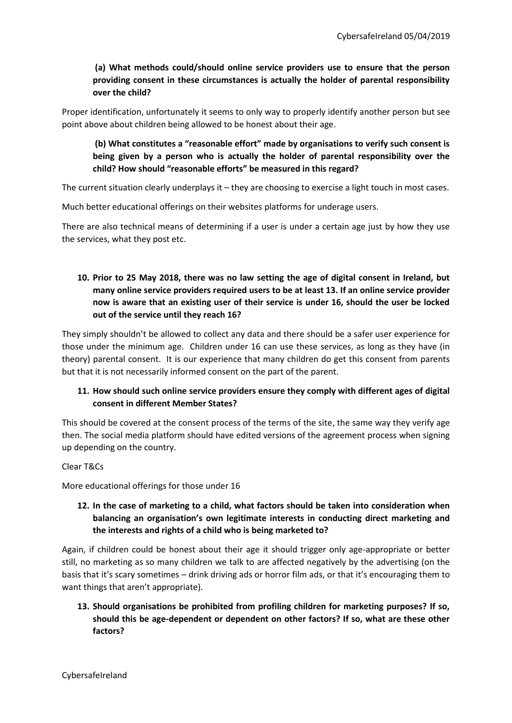# **(a) What methods could/should online service providers use to ensure that the person providing consent in these circumstances is actually the holder of parental responsibility over the child?**

Proper identification, unfortunately it seems to only way to properly identify another person but see point above about children being allowed to be honest about their age.

# **(b) What constitutes a "reasonable effort" made by organisations to verify such consent is being given by a person who is actually the holder of parental responsibility over the child? How should "reasonable efforts" be measured in this regard?**

The current situation clearly underplays it – they are choosing to exercise a light touch in most cases.

Much better educational offerings on their websites platforms for underage users.

There are also technical means of determining if a user is under a certain age just by how they use the services, what they post etc.

# **10. Prior to 25 May 2018, there was no law setting the age of digital consent in Ireland, but many online service providers required users to be at least 13. If an online service provider now is aware that an existing user of their service is under 16, should the user be locked out of the service until they reach 16?**

They simply shouldn't be allowed to collect any data and there should be a safer user experience for those under the minimum age. Children under 16 can use these services, as long as they have (in theory) parental consent. It is our experience that many children do get this consent from parents but that it is not necessarily informed consent on the part of the parent.

### **11. How should such online service providers ensure they comply with different ages of digital consent in different Member States?**

This should be covered at the consent process of the terms of the site, the same way they verify age then. The social media platform should have edited versions of the agreement process when signing up depending on the country.

#### Clear T&Cs

More educational offerings for those under 16

### **12. In the case of marketing to a child, what factors should be taken into consideration when balancing an organisation's own legitimate interests in conducting direct marketing and the interests and rights of a child who is being marketed to?**

Again, if children could be honest about their age it should trigger only age-appropriate or better still, no marketing as so many children we talk to are affected negatively by the advertising (on the basis that it's scary sometimes – drink driving ads or horror film ads, or that it's encouraging them to want things that aren't appropriate).

### **13. Should organisations be prohibited from profiling children for marketing purposes? If so, should this be age-dependent or dependent on other factors? If so, what are these other factors?**